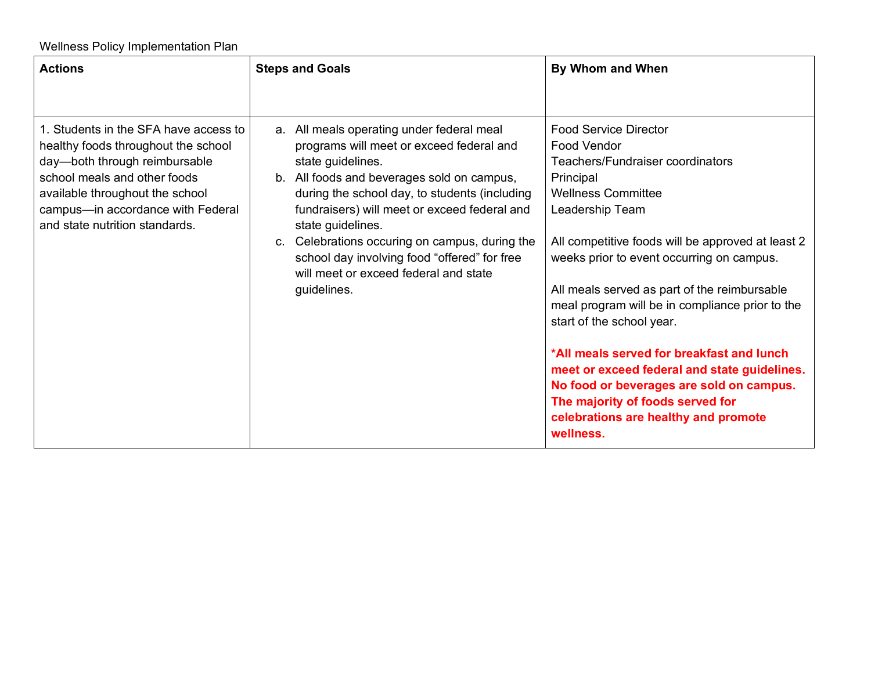| <b>Actions</b>                                                                                                                                                                                                                                          | <b>Steps and Goals</b>                                                                                                                                                                                                                                                                                                                                                                                                                   | By Whom and When                                                                                                                                                                                                                                                                                                                                                                                                                                                                                                                                                                                                 |  |
|---------------------------------------------------------------------------------------------------------------------------------------------------------------------------------------------------------------------------------------------------------|------------------------------------------------------------------------------------------------------------------------------------------------------------------------------------------------------------------------------------------------------------------------------------------------------------------------------------------------------------------------------------------------------------------------------------------|------------------------------------------------------------------------------------------------------------------------------------------------------------------------------------------------------------------------------------------------------------------------------------------------------------------------------------------------------------------------------------------------------------------------------------------------------------------------------------------------------------------------------------------------------------------------------------------------------------------|--|
|                                                                                                                                                                                                                                                         |                                                                                                                                                                                                                                                                                                                                                                                                                                          |                                                                                                                                                                                                                                                                                                                                                                                                                                                                                                                                                                                                                  |  |
| 1. Students in the SFA have access to<br>healthy foods throughout the school<br>day-both through reimbursable<br>school meals and other foods<br>available throughout the school<br>campus-in accordance with Federal<br>and state nutrition standards. | a. All meals operating under federal meal<br>programs will meet or exceed federal and<br>state guidelines.<br>b. All foods and beverages sold on campus,<br>during the school day, to students (including<br>fundraisers) will meet or exceed federal and<br>state guidelines.<br>c. Celebrations occuring on campus, during the<br>school day involving food "offered" for free<br>will meet or exceed federal and state<br>guidelines. | <b>Food Service Director</b><br>Food Vendor<br>Teachers/Fundraiser coordinators<br>Principal<br><b>Wellness Committee</b><br>Leadership Team<br>All competitive foods will be approved at least 2<br>weeks prior to event occurring on campus.<br>All meals served as part of the reimbursable<br>meal program will be in compliance prior to the<br>start of the school year.<br>*All meals served for breakfast and lunch<br>meet or exceed federal and state guidelines.<br>No food or beverages are sold on campus.<br>The majority of foods served for<br>celebrations are healthy and promote<br>wellness. |  |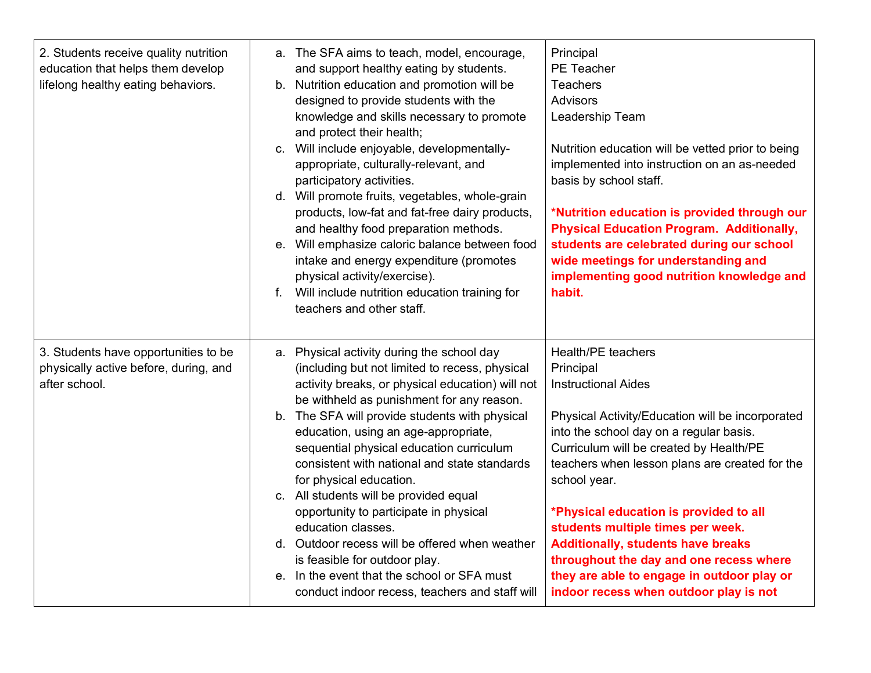| 2. Students receive quality nutrition<br>education that helps them develop<br>lifelong healthy eating behaviors. | a. The SFA aims to teach, model, encourage,<br>and support healthy eating by students.<br>b. Nutrition education and promotion will be<br>designed to provide students with the<br>knowledge and skills necessary to promote<br>and protect their health;<br>c. Will include enjoyable, developmentally-<br>appropriate, culturally-relevant, and<br>participatory activities.<br>d. Will promote fruits, vegetables, whole-grain<br>products, low-fat and fat-free dairy products,<br>and healthy food preparation methods.<br>e. Will emphasize caloric balance between food<br>intake and energy expenditure (promotes<br>physical activity/exercise).<br>f. Will include nutrition education training for<br>teachers and other staff. | Principal<br><b>PE Teacher</b><br><b>Teachers</b><br><b>Advisors</b><br>Leadership Team<br>Nutrition education will be vetted prior to being<br>implemented into instruction on an as-needed<br>basis by school staff.<br>*Nutrition education is provided through our<br><b>Physical Education Program. Additionally,</b><br>students are celebrated during our school<br>wide meetings for understanding and<br>implementing good nutrition knowledge and<br>habit.                                                                    |
|------------------------------------------------------------------------------------------------------------------|--------------------------------------------------------------------------------------------------------------------------------------------------------------------------------------------------------------------------------------------------------------------------------------------------------------------------------------------------------------------------------------------------------------------------------------------------------------------------------------------------------------------------------------------------------------------------------------------------------------------------------------------------------------------------------------------------------------------------------------------|------------------------------------------------------------------------------------------------------------------------------------------------------------------------------------------------------------------------------------------------------------------------------------------------------------------------------------------------------------------------------------------------------------------------------------------------------------------------------------------------------------------------------------------|
| 3. Students have opportunities to be<br>physically active before, during, and<br>after school.                   | a. Physical activity during the school day<br>(including but not limited to recess, physical<br>activity breaks, or physical education) will not<br>be withheld as punishment for any reason.<br>b. The SFA will provide students with physical<br>education, using an age-appropriate,<br>sequential physical education curriculum<br>consistent with national and state standards<br>for physical education.<br>c. All students will be provided equal<br>opportunity to participate in physical<br>education classes.<br>d. Outdoor recess will be offered when weather<br>is feasible for outdoor play.<br>e. In the event that the school or SFA must<br>conduct indoor recess, teachers and staff will                               | Health/PE teachers<br>Principal<br><b>Instructional Aides</b><br>Physical Activity/Education will be incorporated<br>into the school day on a regular basis.<br>Curriculum will be created by Health/PE<br>teachers when lesson plans are created for the<br>school year.<br>*Physical education is provided to all<br>students multiple times per week.<br><b>Additionally, students have breaks</b><br>throughout the day and one recess where<br>they are able to engage in outdoor play or<br>indoor recess when outdoor play is not |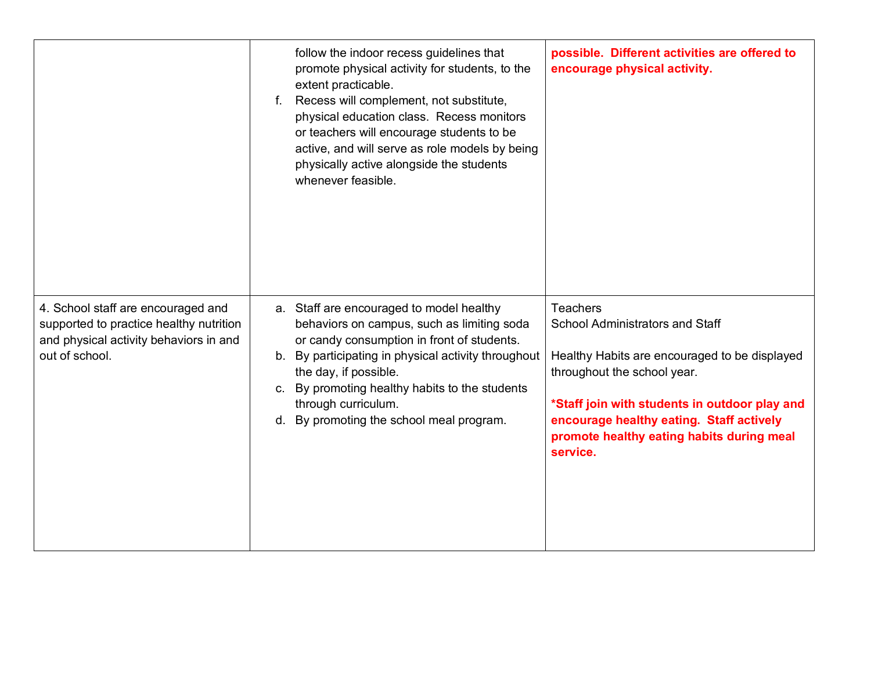|                                                                                                                                           | follow the indoor recess guidelines that<br>promote physical activity for students, to the<br>extent practicable.<br>f. Recess will complement, not substitute,<br>physical education class. Recess monitors<br>or teachers will encourage students to be<br>active, and will serve as role models by being<br>physically active alongside the students<br>whenever feasible. | possible. Different activities are offered to<br>encourage physical activity.                                                                                                                                                                                                                   |
|-------------------------------------------------------------------------------------------------------------------------------------------|-------------------------------------------------------------------------------------------------------------------------------------------------------------------------------------------------------------------------------------------------------------------------------------------------------------------------------------------------------------------------------|-------------------------------------------------------------------------------------------------------------------------------------------------------------------------------------------------------------------------------------------------------------------------------------------------|
| 4. School staff are encouraged and<br>supported to practice healthy nutrition<br>and physical activity behaviors in and<br>out of school. | a. Staff are encouraged to model healthy<br>behaviors on campus, such as limiting soda<br>or candy consumption in front of students.<br>b. By participating in physical activity throughout<br>the day, if possible.<br>c. By promoting healthy habits to the students<br>through curriculum.<br>d. By promoting the school meal program.                                     | <b>Teachers</b><br><b>School Administrators and Staff</b><br>Healthy Habits are encouraged to be displayed<br>throughout the school year.<br>*Staff join with students in outdoor play and<br>encourage healthy eating. Staff actively<br>promote healthy eating habits during meal<br>service. |